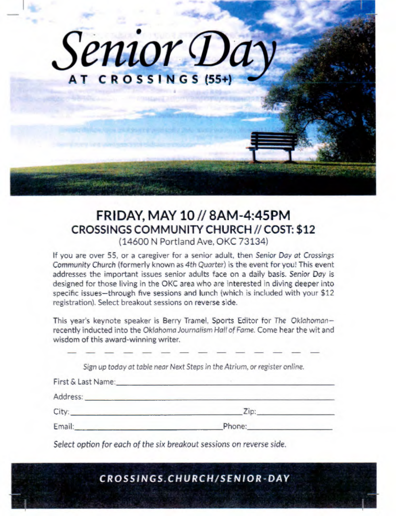

# FRIDAY, MAY 10 // 8AM-4:45PM CROSSINGS COMMUNITY CHURCH//COST: \$12 (14600 N Portland Ave, OKC 73134)

If you are over 55, or a caregiver for a senior adult, then *Senior Day at Crossings*  Community Church (formerly known as *4th Quarter)* is the event for you! This event addresses the important issues senior adults face on a daily basis. *Senior Day is*  designed for those living in the OKC area who are interested in diving deeper into specific issues—through five sessions and lunch (which is included with your \$12 registration). Select breakout sessions on reverse side.

This year's keynote speaker is Berry Tramel, Sports Editor for *The Oklahoman* recently inducted into the *Oklahoma Journalism Hall of Fame.* Come hear the wit and wisdom of this award-winning writer.

*Sign up today at table near* Next *Steps in the Atrium, or register online.* 

| First & Last Name: |        |
|--------------------|--------|
| Address:           |        |
| City:              | Zip:   |
| Email:             | Phone: |

*Select option for each of the six breakout sessions on reverse side.* 

*CROSSINGS.CHURCH/SENIOR - DAY*